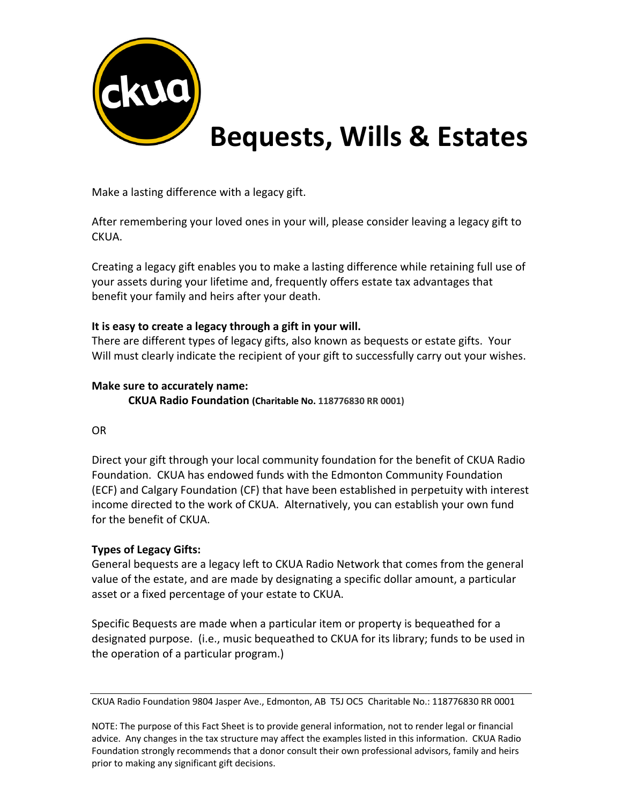

 **Bequests, Wills & Estates**

Make a lasting difference with a legacy gift.

After remembering your loved ones in your will, please consider leaving a legacy gift to CKUA.

Creating a legacy gift enables you to make a lasting difference while retaining full use of your assets during your lifetime and, frequently offers estate tax advantages that benefit your family and heirs after your death.

### **It is easy to create a legacy through a gift in your will.**

There are different types of legacy gifts, also known as bequests or estate gifts. Your Will must clearly indicate the recipient of your gift to successfully carry out your wishes.

### **Make sure to accurately name:**

**CKUA Radio Foundation (Charitable No. 118776830 RR 0001)**

### OR

Direct your gift through your local community foundation for the benefit of CKUA Radio Foundation. CKUA has endowed funds with the Edmonton Community Foundation (ECF) and Calgary Foundation (CF) that have been established in perpetuity with interest income directed to the work of CKUA. Alternatively, you can establish your own fund for the benefit of CKUA.

### **Types of Legacy Gifts:**

General bequests are a legacy left to CKUA Radio Network that comes from the general value of the estate, and are made by designating a specific dollar amount, a particular asset or a fixed percentage of your estate to CKUA.

Specific Bequests are made when a particular item or property is bequeathed for a designated purpose. (i.e., music bequeathed to CKUA for its library; funds to be used in the operation of a particular program.)

CKUA Radio Foundation 9804 Jasper Ave., Edmonton, AB T5J OC5 Charitable No.: 118776830 RR 0001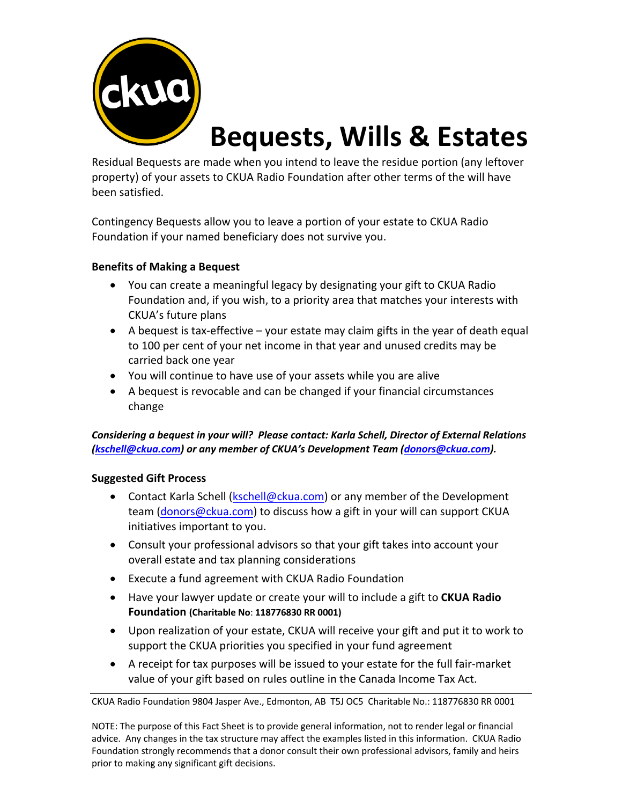

# **Bequests, Wills & Estates**

Residual Bequests are made when you intend to leave the residue portion (any leftover property) of your assets to CKUA Radio Foundation after other terms of the will have been satisfied.

Contingency Bequests allow you to leave a portion of your estate to CKUA Radio Foundation if your named beneficiary does not survive you.

### **Benefits of Making a Bequest**

- You can create a meaningful legacy by designating your gift to CKUA Radio Foundation and, if you wish, to a priority area that matches your interests with CKUA's future plans
- A bequest is tax-effective your estate may claim gifts in the year of death equal to 100 per cent of your net income in that year and unused credits may be carried back one year
- You will continue to have use of your assets while you are alive
- A bequest is revocable and can be changed if your financial circumstances change

### *Considering a bequest in your will? Please contact: Karla Schell, Director of External Relations (kschell@ckua.com) or any member of CKUA's Development Team (donors@ckua.com).*

### **Suggested Gift Process**

- Contact Karla Schell (kschell@ckua.com) or any member of the Development team (donors@ckua.com) to discuss how a gift in your will can support CKUA initiatives important to you.
- Consult your professional advisors so that your gift takes into account your overall estate and tax planning considerations
- Execute a fund agreement with CKUA Radio Foundation
- Have your lawyer update or create your will to include a gift to **CKUA Radio Foundation (Charitable No**: **118776830 RR 0001)**
- Upon realization of your estate, CKUA will receive your gift and put it to work to support the CKUA priorities you specified in your fund agreement
- A receipt for tax purposes will be issued to your estate for the full fair-market value of your gift based on rules outline in the Canada Income Tax Act.

CKUA Radio Foundation 9804 Jasper Ave., Edmonton, AB T5J OC5 Charitable No.: 118776830 RR 0001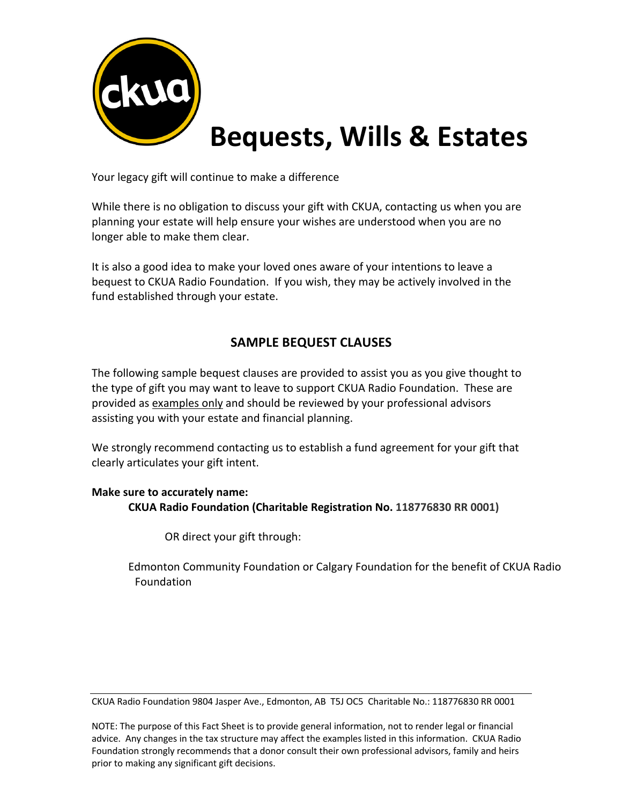

# **Bequests, Wills & Estates**

Your legacy gift will continue to make a difference

While there is no obligation to discuss your gift with CKUA, contacting us when you are planning your estate will help ensure your wishes are understood when you are no longer able to make them clear.

It is also a good idea to make your loved ones aware of your intentions to leave a bequest to CKUA Radio Foundation. If you wish, they may be actively involved in the fund established through your estate.

## **SAMPLE BEQUEST CLAUSES**

The following sample bequest clauses are provided to assist you as you give thought to the type of gift you may want to leave to support CKUA Radio Foundation. These are provided as examples only and should be reviewed by your professional advisors assisting you with your estate and financial planning.

We strongly recommend contacting us to establish a fund agreement for your gift that clearly articulates your gift intent.

### **Make sure to accurately name: CKUA Radio Foundation (Charitable Registration No. 118776830 RR 0001)**

OR direct your gift through:

Edmonton Community Foundation or Calgary Foundation for the benefit of CKUA Radio Foundation

CKUA Radio Foundation 9804 Jasper Ave., Edmonton, AB T5J OC5 Charitable No.: 118776830 RR 0001